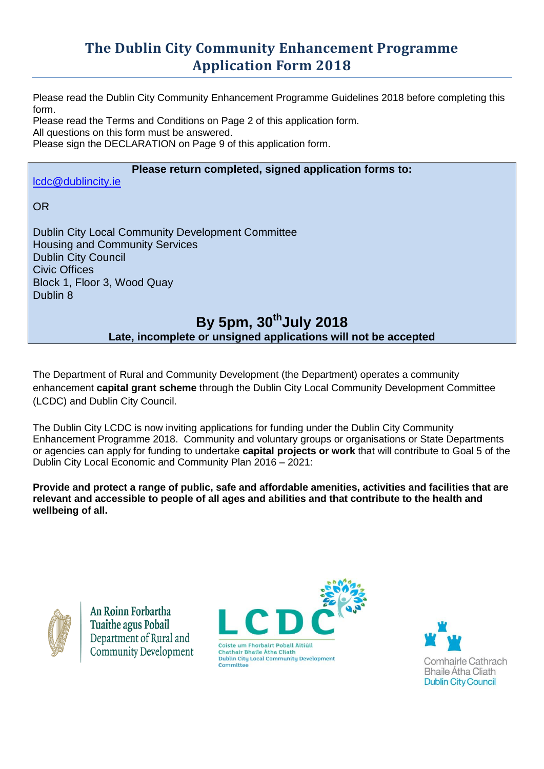# **The Dublin City Community Enhancement Programme Application Form 2018**

Please read the Dublin City Community Enhancement Programme Guidelines 2018 before completing this form.

Please read the Terms and Conditions on Page 2 of this application form. All questions on this form must be answered.

Please sign the DECLARATION on Page 9 of this application form.

### **Please return completed, signed application forms to:**

[lcdc@dublincity.ie](mailto:lcdc@dublincity.ie)

OR

Dublin City Local Community Development Committee Housing and Community Services Dublin City Council Civic Offices Block 1, Floor 3, Wood Quay Dublin 8

## **By 5pm, 30thJuly 2018 Late, incomplete or unsigned applications will not be accepted**

The Department of Rural and Community Development (the Department) operates a community enhancement **capital grant scheme** through the Dublin City Local Community Development Committee (LCDC) and Dublin City Council.

The Dublin City LCDC is now inviting applications for funding under the Dublin City Community Enhancement Programme 2018. Community and voluntary groups or organisations or State Departments or agencies can apply for funding to undertake **capital projects or work** that will contribute to Goal 5 of the Dublin City Local Economic and Community Plan 2016 – 2021:

**Provide and protect a range of public, safe and affordable amenities, activities and facilities that are relevant and accessible to people of all ages and abilities and that contribute to the health and wellbeing of all.** 



An Roinn Forbartha **Tuaithe agus Pobail** Department of Rural and **Community Development** 



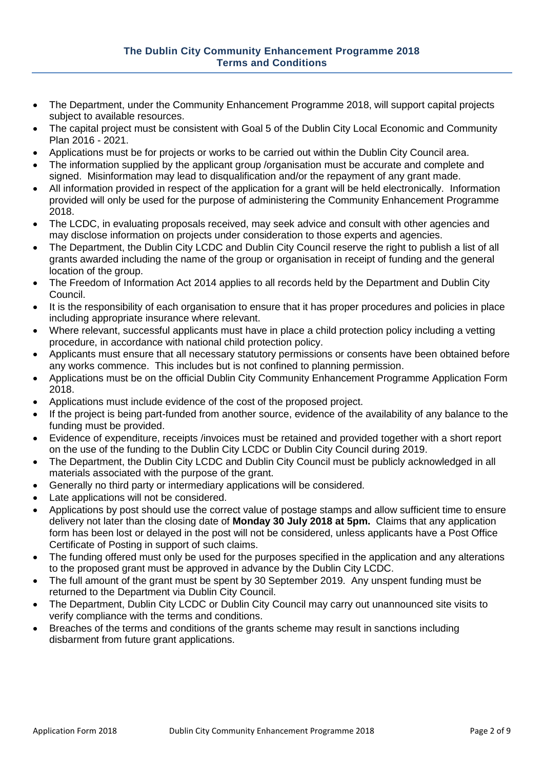- The Department, under the Community Enhancement Programme 2018, will support capital projects subject to available resources.
- The capital project must be consistent with Goal 5 of the Dublin City Local Economic and Community Plan 2016 - 2021.
- Applications must be for projects or works to be carried out within the Dublin City Council area.
- The information supplied by the applicant group /organisation must be accurate and complete and signed. Misinformation may lead to disqualification and/or the repayment of any grant made.
- All information provided in respect of the application for a grant will be held electronically. Information provided will only be used for the purpose of administering the Community Enhancement Programme 2018.
- The LCDC, in evaluating proposals received, may seek advice and consult with other agencies and may disclose information on projects under consideration to those experts and agencies.
- The Department, the Dublin City LCDC and Dublin City Council reserve the right to publish a list of all grants awarded including the name of the group or organisation in receipt of funding and the general location of the group.
- The Freedom of Information Act 2014 applies to all records held by the Department and Dublin City Council.
- It is the responsibility of each organisation to ensure that it has proper procedures and policies in place including appropriate insurance where relevant.
- Where relevant, successful applicants must have in place a child protection policy including a vetting procedure, in accordance with national child protection policy.
- Applicants must ensure that all necessary statutory permissions or consents have been obtained before any works commence. This includes but is not confined to planning permission.
- Applications must be on the official Dublin City Community Enhancement Programme Application Form 2018.
- Applications must include evidence of the cost of the proposed project.
- If the project is being part-funded from another source, evidence of the availability of any balance to the funding must be provided.
- Evidence of expenditure, receipts /invoices must be retained and provided together with a short report on the use of the funding to the Dublin City LCDC or Dublin City Council during 2019.
- The Department, the Dublin City LCDC and Dublin City Council must be publicly acknowledged in all materials associated with the purpose of the grant.
- Generally no third party or intermediary applications will be considered.
- Late applications will not be considered.
- Applications by post should use the correct value of postage stamps and allow sufficient time to ensure delivery not later than the closing date of **Monday 30 July 2018 at 5pm.** Claims that any application form has been lost or delayed in the post will not be considered, unless applicants have a Post Office Certificate of Posting in support of such claims.
- The funding offered must only be used for the purposes specified in the application and any alterations to the proposed grant must be approved in advance by the Dublin City LCDC.
- The full amount of the grant must be spent by 30 September 2019. Any unspent funding must be returned to the Department via Dublin City Council.
- The Department, Dublin City LCDC or Dublin City Council may carry out unannounced site visits to verify compliance with the terms and conditions.
- Breaches of the terms and conditions of the grants scheme may result in sanctions including disbarment from future grant applications.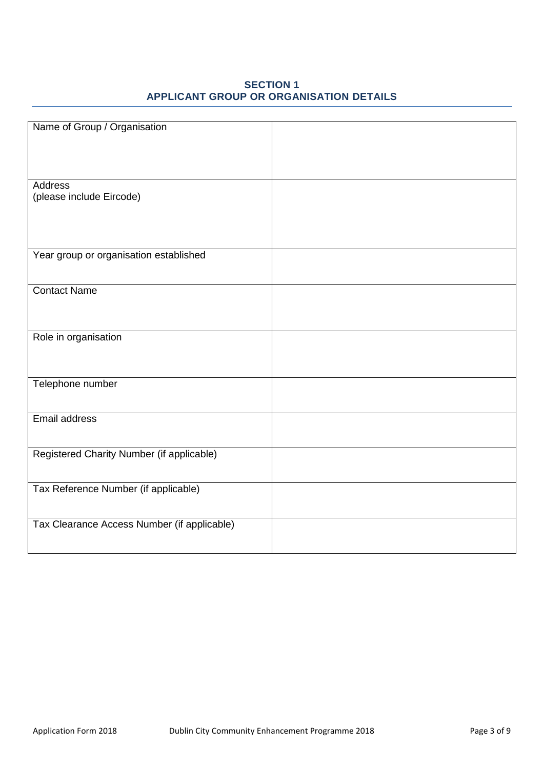#### **SECTION 1 APPLICANT GROUP OR ORGANISATION DETAILS**

| Name of Group / Organisation                |  |
|---------------------------------------------|--|
|                                             |  |
|                                             |  |
|                                             |  |
|                                             |  |
|                                             |  |
| Address                                     |  |
| (please include Eircode)                    |  |
|                                             |  |
|                                             |  |
|                                             |  |
|                                             |  |
|                                             |  |
| Year group or organisation established      |  |
|                                             |  |
|                                             |  |
|                                             |  |
| <b>Contact Name</b>                         |  |
|                                             |  |
|                                             |  |
|                                             |  |
|                                             |  |
| Role in organisation                        |  |
|                                             |  |
|                                             |  |
|                                             |  |
|                                             |  |
| Telephone number                            |  |
|                                             |  |
|                                             |  |
|                                             |  |
| Email address                               |  |
|                                             |  |
|                                             |  |
| Registered Charity Number (if applicable)   |  |
|                                             |  |
|                                             |  |
|                                             |  |
| Tax Reference Number (if applicable)        |  |
|                                             |  |
|                                             |  |
|                                             |  |
| Tax Clearance Access Number (if applicable) |  |
|                                             |  |
|                                             |  |
|                                             |  |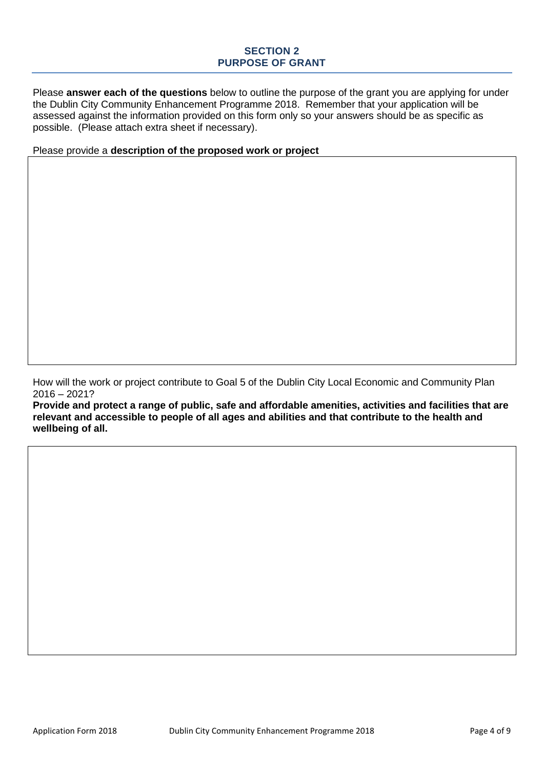#### **SECTION 2 PURPOSE OF GRANT**

Please **answer each of the questions** below to outline the purpose of the grant you are applying for under the Dublin City Community Enhancement Programme 2018. Remember that your application will be assessed against the information provided on this form only so your answers should be as specific as possible. (Please attach extra sheet if necessary).

Please provide a **description of the proposed work or project**

How will the work or project contribute to Goal 5 of the Dublin City Local Economic and Community Plan 2016 – 2021?

**Provide and protect a range of public, safe and affordable amenities, activities and facilities that are relevant and accessible to people of all ages and abilities and that contribute to the health and wellbeing of all.**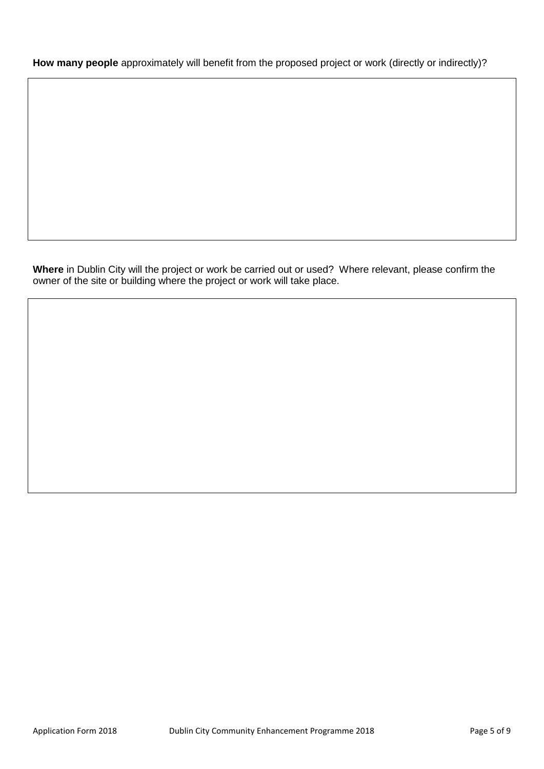**How many people** approximately will benefit from the proposed project or work (directly or indirectly)?

**Where** in Dublin City will the project or work be carried out or used? Where relevant, please confirm the owner of the site or building where the project or work will take place.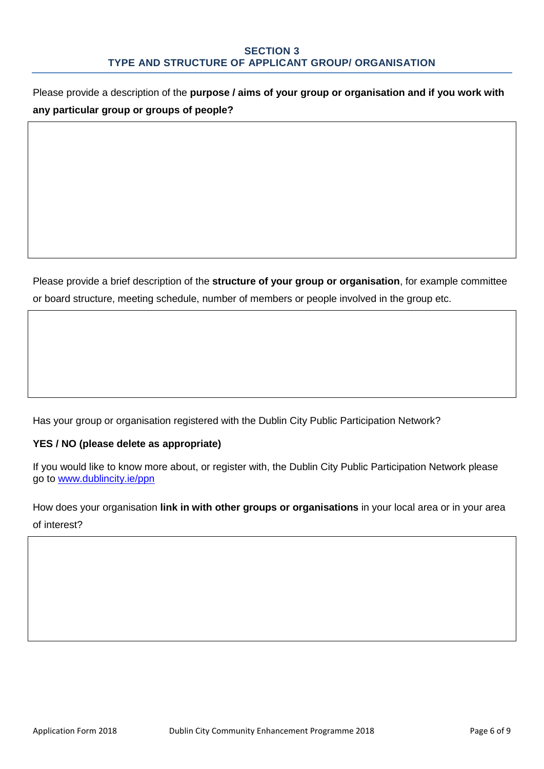Please provide a description of the **purpose / aims of your group or organisation and if you work with any particular group or groups of people?**

Please provide a brief description of the **structure of your group or organisation**, for example committee or board structure, meeting schedule, number of members or people involved in the group etc.

Has your group or organisation registered with the Dublin City Public Participation Network?

#### **YES / NO (please delete as appropriate)**

If you would like to know more about, or register with, the Dublin City Public Participation Network please go to [www.dublincity.ie/ppn](http://www.dublincity.ie/ppn)

How does your organisation **link in with other groups or organisations** in your local area or in your area of interest?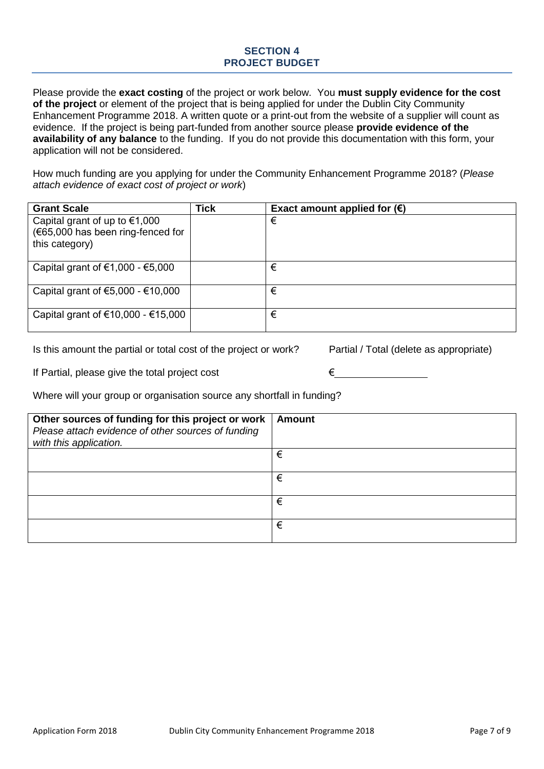#### **SECTION 4 PROJECT BUDGET**

Please provide the **exact costing** of the project or work below. You **must supply evidence for the cost of the project** or element of the project that is being applied for under the Dublin City Community Enhancement Programme 2018. A written quote or a print-out from the website of a supplier will count as evidence. If the project is being part-funded from another source please **provide evidence of the availability of any balance** to the funding. If you do not provide this documentation with this form, your application will not be considered.

How much funding are you applying for under the Community Enhancement Programme 2018? (*Please attach evidence of exact cost of project or work*)

| <b>Grant Scale</b>                                                                     | <b>Tick</b> | Exact amount applied for $(\epsilon)$ |
|----------------------------------------------------------------------------------------|-------------|---------------------------------------|
| Capital grant of up to $€1,000$<br>(€65,000 has been ring-fenced for<br>this category) |             | €                                     |
| Capital grant of $\epsilon$ 1,000 - $\epsilon$ 5,000                                   |             | €                                     |
| Capital grant of $€5,000 - €10,000$                                                    |             | €                                     |
| Capital grant of €10,000 - €15,000                                                     |             | €                                     |

Is this amount the partial or total cost of the project or work? Partial / Total (delete as appropriate)

If Partial, please give the total project cost  $\epsilon$   $\epsilon$ 

Where will your group or organisation source any shortfall in funding?

| Other sources of funding for this project or work<br>Please attach evidence of other sources of funding<br>with this application. | <b>Amount</b> |
|-----------------------------------------------------------------------------------------------------------------------------------|---------------|
|                                                                                                                                   | €             |
|                                                                                                                                   | €             |
|                                                                                                                                   | €             |
|                                                                                                                                   | €             |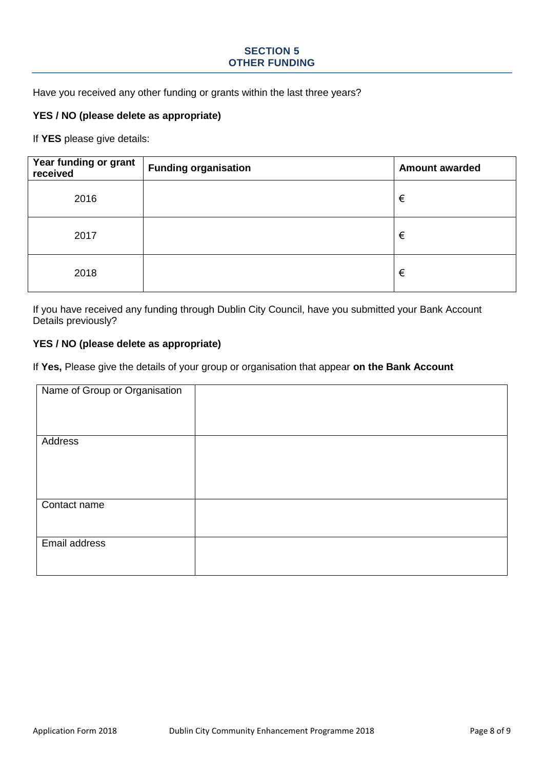#### **SECTION 5 OTHER FUNDING**

Have you received any other funding or grants within the last three years?

#### **YES / NO (please delete as appropriate)**

If **YES** please give details:

| Year funding or grant<br>received | <b>Funding organisation</b> | <b>Amount awarded</b> |
|-----------------------------------|-----------------------------|-----------------------|
| 2016                              |                             | €                     |
| 2017                              |                             | €                     |
| 2018                              |                             | €                     |

If you have received any funding through Dublin City Council, have you submitted your Bank Account Details previously?

#### **YES / NO (please delete as appropriate)**

If **Yes,** Please give the details of your group or organisation that appear **on the Bank Account**

| Name of Group or Organisation |  |
|-------------------------------|--|
|                               |  |
|                               |  |
|                               |  |
|                               |  |
|                               |  |
|                               |  |
|                               |  |
| Address                       |  |
|                               |  |
|                               |  |
|                               |  |
|                               |  |
|                               |  |
|                               |  |
|                               |  |
|                               |  |
|                               |  |
| Contact name                  |  |
|                               |  |
|                               |  |
|                               |  |
|                               |  |
| Email address                 |  |
|                               |  |
|                               |  |
|                               |  |
|                               |  |
|                               |  |